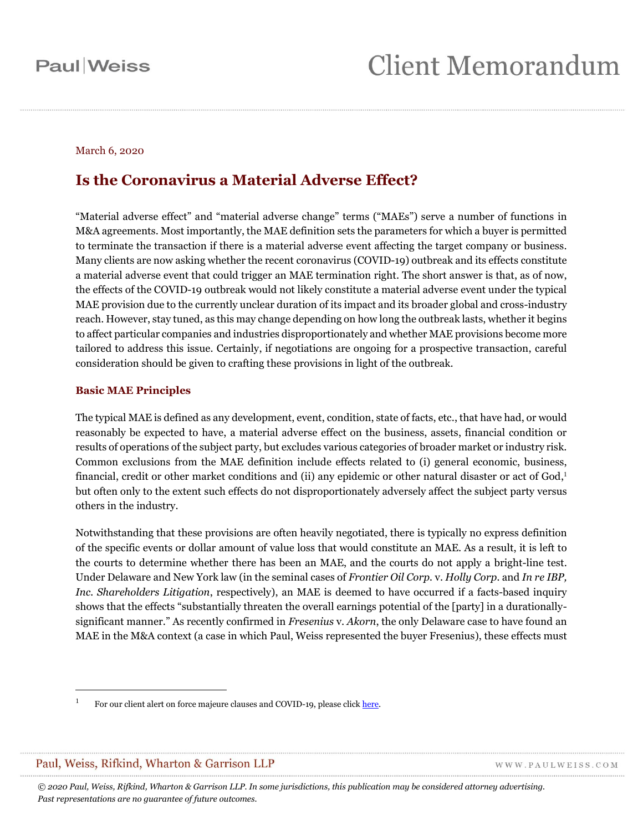#### March 6, 2020

### **Is the Coronavirus a Material Adverse Effect?**

"Material adverse effect" and "material adverse change" terms ("MAEs") serve a number of functions in M&A agreements. Most importantly, the MAE definition sets the parameters for which a buyer is permitted to terminate the transaction if there is a material adverse event affecting the target company or business. Many clients are now asking whether the recent coronavirus (COVID-19) outbreak and its effects constitute a material adverse event that could trigger an MAE termination right. The short answer is that, as of now, the effects of the COVID-19 outbreak would not likely constitute a material adverse event under the typical MAE provision due to the currently unclear duration of its impact and its broader global and cross-industry reach. However, stay tuned, as this may change depending on how long the outbreak lasts, whether it begins to affect particular companies and industries disproportionately and whether MAE provisions become more tailored to address this issue. Certainly, if negotiations are ongoing for a prospective transaction, careful consideration should be given to crafting these provisions in light of the outbreak.

#### **Basic MAE Principles**

The typical MAE is defined as any development, event, condition, state of facts, etc., that have had, or would reasonably be expected to have, a material adverse effect on the business, assets, financial condition or results of operations of the subject party, but excludes various categories of broader market or industry risk. Common exclusions from the MAE definition include effects related to (i) general economic, business, financial, credit or other market conditions and (ii) any epidemic or other natural disaster or act of God, 1 but often only to the extent such effects do not disproportionately adversely affect the subject party versus others in the industry.

Notwithstanding that these provisions are often heavily negotiated, there is typically no express definition of the specific events or dollar amount of value loss that would constitute an MAE. As a result, it is left to the courts to determine whether there has been an MAE, and the courts do not apply a bright-line test. Under Delaware and New York law (in the seminal cases of *Frontier Oil Corp.* v. *Holly Corp.* and *In re IBP, Inc. Shareholders Litigation*, respectively), an MAE is deemed to have occurred if a facts-based inquiry shows that the effects "substantially threaten the overall earnings potential of the [party] in a durationallysignificant manner." As recently confirmed in *Fresenius* v. *Akorn*, the only Delaware case to have found an MAE in the M&A context (a case in which Paul, Weiss represented the buyer Fresenius), these effects must

#### Paul, Weiss, Rifkind, Wharton & Garrison LLP

 $\overline{a}$ 

WWW.PAULWEISS.COM

*© 2020 Paul, Weiss, Rifkind, Wharton & Garrison LLP. In some jurisdictions, this publication may be considered attorney advertising. Past representations are no guarantee of future outcomes.*

For our client alert on force majeure clauses and COVID-19, please clic[k here.](https://www.paulweiss.com/practices/litigation/litigation/publications/force-majeure-in-the-wake-of-the-coronavirus-covid-19?id=30746)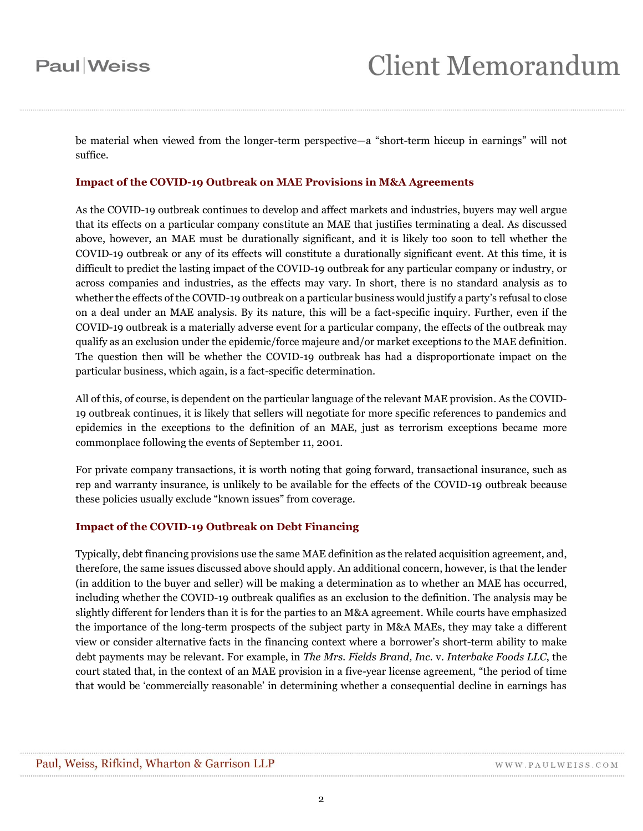be material when viewed from the longer-term perspective—a "short-term hiccup in earnings" will not suffice.

#### **Impact of the COVID-19 Outbreak on MAE Provisions in M&A Agreements**

As the COVID-19 outbreak continues to develop and affect markets and industries, buyers may well argue that its effects on a particular company constitute an MAE that justifies terminating a deal. As discussed above, however, an MAE must be durationally significant, and it is likely too soon to tell whether the COVID-19 outbreak or any of its effects will constitute a durationally significant event. At this time, it is difficult to predict the lasting impact of the COVID-19 outbreak for any particular company or industry, or across companies and industries, as the effects may vary. In short, there is no standard analysis as to whether the effects of the COVID-19 outbreak on a particular business would justify a party's refusal to close on a deal under an MAE analysis. By its nature, this will be a fact-specific inquiry. Further, even if the COVID-19 outbreak is a materially adverse event for a particular company, the effects of the outbreak may qualify as an exclusion under the epidemic/force majeure and/or market exceptions to the MAE definition. The question then will be whether the COVID-19 outbreak has had a disproportionate impact on the particular business, which again, is a fact-specific determination.

All of this, of course, is dependent on the particular language of the relevant MAE provision. As the COVID-19 outbreak continues, it is likely that sellers will negotiate for more specific references to pandemics and epidemics in the exceptions to the definition of an MAE, just as terrorism exceptions became more commonplace following the events of September 11, 2001.

For private company transactions, it is worth noting that going forward, transactional insurance, such as rep and warranty insurance, is unlikely to be available for the effects of the COVID-19 outbreak because these policies usually exclude "known issues" from coverage.

#### **Impact of the COVID-19 Outbreak on Debt Financing**

Typically, debt financing provisions use the same MAE definition as the related acquisition agreement, and, therefore, the same issues discussed above should apply. An additional concern, however, is that the lender (in addition to the buyer and seller) will be making a determination as to whether an MAE has occurred, including whether the COVID-19 outbreak qualifies as an exclusion to the definition. The analysis may be slightly different for lenders than it is for the parties to an M&A agreement. While courts have emphasized the importance of the long-term prospects of the subject party in M&A MAEs, they may take a different view or consider alternative facts in the financing context where a borrower's short-term ability to make debt payments may be relevant. For example, in *The Mrs. Fields Brand, Inc.* v*. Interbake Foods LLC*, the court stated that, in the context of an MAE provision in a five-year license agreement, "the period of time that would be 'commercially reasonable' in determining whether a consequential decline in earnings has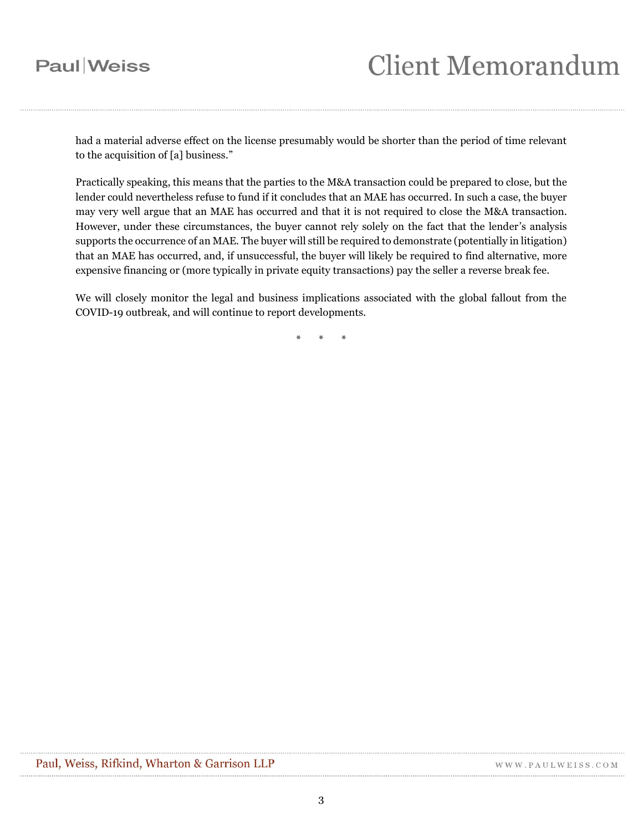had a material adverse effect on the license presumably would be shorter than the period of time relevant to the acquisition of [a] business."

Practically speaking, this means that the parties to the M&A transaction could be prepared to close, but the lender could nevertheless refuse to fund if it concludes that an MAE has occurred. In such a case, the buyer may very well argue that an MAE has occurred and that it is not required to close the M&A transaction. However, under these circumstances, the buyer cannot rely solely on the fact that the lender's analysis supports the occurrence of an MAE. The buyer will still be required to demonstrate (potentially in litigation) that an MAE has occurred, and, if unsuccessful, the buyer will likely be required to find alternative, more expensive financing or (more typically in private equity transactions) pay the seller a reverse break fee.

We will closely monitor the legal and business implications associated with the global fallout from the COVID-19 outbreak, and will continue to report developments.

\* \* \*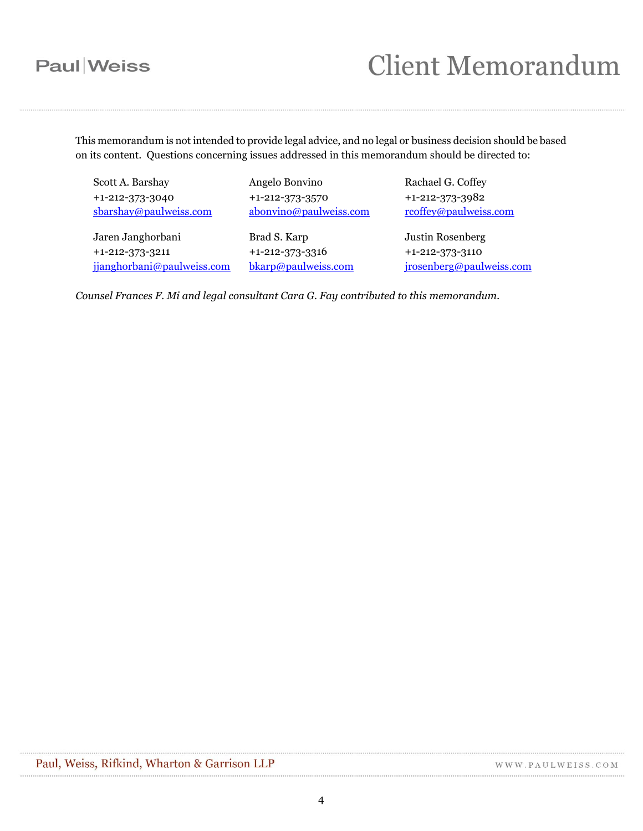## **Paul** Weiss

# **Client Memorandum**

This memorandum is not intended to provide legal advice, and no legal or business decision should be based on its content. Questions concerning issues addressed in this memorandum should be directed to:

Scott A. Barshay +1-212-373-3040 [sbarshay@paulweiss.com](mailto:sbarshay@paulweiss.com)

Jaren Janghorbani +1-212-373-3211 [jjanghorbani@paulweiss.com](mailto:jjanghorbani@paulweiss.com) Angelo Bonvino +1-212-373-3570 [abonvino@paulweiss.com](mailto:abonvino@paulweiss.com)

Brad S. Karp +1-212-373-3316 [bkarp@paulweiss.com](mailto:bkarp@paulweiss.com) Rachael G. Coffey +1-212-373-3982 [rcoffey@paulweiss.com](mailto:rcoffey@paulweiss.com)

Justin Rosenberg +1-212-373-3110 [jrosenberg@paulweiss.com](mailto:jrosenberg@paulweiss.com)

*Counsel Frances F. Mi and legal consultant Cara G. Fay contributed to this memorandum.*

WWW.PAULWEISS.COM